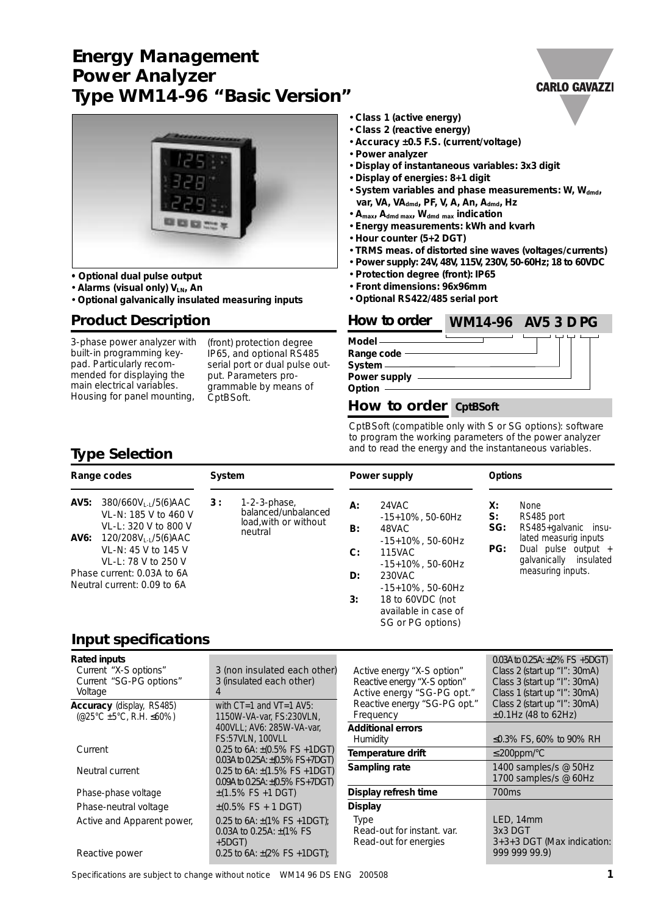# **Energy Management Power Analyzer Type WM14-96 "Basic Version"**



- **• Optional dual pulse output**
- **Alarms (visual only) VLN, An**
- **Optional galvanically insulated measuring inputs**

## **Product Description**

3-phase power analyzer with built-in programming keypad. Particularly recommended for displaying the main electrical variables. Housing for panel mounting,

(front) protection degree IP65, and optional RS485 serial port or dual pulse output. Parameters programmable by means of CptBSoft.

- **Class 1 (active energy)**
- **Class 2 (reactive energy)**
- **Accuracy ±0.5 F.S. (current/voltage)**
- **Power analyzer**
- **Display of instantaneous variables: 3x3 digit**
- **Display of energies: 8+1 digit**
- System variables and phase measurements: W, W<sub>dmd</sub>, **var, VA, VAdmd, PF, V, A, An, Admd, Hz**
- **Amax, Admd max, Wdmd max indication**
- **Energy measurements: kWh and kvarh**
- **Hour counter (5+2 DGT)**
- **TRMS meas. of distorted sine waves (voltages/currents)**
- **Power supply: 24V, 48V, 115V, 230V, 50-60Hz; 18 to 60VDC**
- **Protection degree (front): IP65**
- **Front dimensions: 96x96mm**
- **Optional RS422/485 serial port**

### **How to order WM14-96** AV5 3 D PG

**Model Range code System Power supply**

**Option**

## **How to order CptBSoft**

CptBSoft (compatible only with S or SG options): software to program the working parameters of the power analyzer and to read the energy and the instantaneous variables.

## **Type Selection**

|                                                           | Range codes                                                                                                                                                | System |                                                                            |                | Power supply                                                                                                        | <b>Options</b> |                                                                                                                                                       |
|-----------------------------------------------------------|------------------------------------------------------------------------------------------------------------------------------------------------------------|--------|----------------------------------------------------------------------------|----------------|---------------------------------------------------------------------------------------------------------------------|----------------|-------------------------------------------------------------------------------------------------------------------------------------------------------|
| AV5:                                                      | 380/660VL-L/5(6)AAC<br>VL-N: 185 V to 460 V<br>VL-L: 320 V to 800 V<br><b>AV6:</b> $120/208V_{L-L}/5(6)$ AAC<br>VL-N: 45 V to 145 V<br>VL-L: 78 V to 250 V | 3:     | $1-2-3$ -phase,<br>balanced/unbalanced<br>load, with or without<br>neutral | А:<br>B:<br>C: | 24VAC<br>X:<br>S:<br>$-15+10\%$ , 50-60Hz<br>48VAC<br>$-15+10\%$ , 50-60Hz<br><b>115VAC</b><br>$-15+10\%$ , 50-60Hz | SG:<br>PG:     | <b>None</b><br>RS485 port<br>RS485+galvanic insu-<br>lated measurig inputs<br>Dual pulse output $+$<br>galvanically<br>insulated<br>measuring inputs. |
| Phase current: 0.03A to 6A<br>Neutral current: 0.09 to 6A |                                                                                                                                                            | D:     | 230VAC<br>$-15+10\%$ , 50-60Hz                                             |                |                                                                                                                     |                |                                                                                                                                                       |
|                                                           |                                                                                                                                                            |        |                                                                            | 3:             | 18 to 60VDC (not<br>available in case of<br>SG or PG options)                                                       |                |                                                                                                                                                       |

## **Input specifications**

| <b>Rated inputs</b><br>Current "X-S options"<br>Current "SG-PG options"<br>Voltage  | 3 (non insulated each other)<br>3 (insulated each other)<br>4                | Active energy "X-S option"<br>Reactive energy "X-S option"<br>Active energy "SG-PG opt." | $0.03A$ to 0.25A: $\pm$ (2% FS +5DGT)<br>Class 2 (start up "I": 30mA)<br>Class 3 (start up "I": 30mA)<br>Class 1 (start up "I": 30mA) |
|-------------------------------------------------------------------------------------|------------------------------------------------------------------------------|------------------------------------------------------------------------------------------|---------------------------------------------------------------------------------------------------------------------------------------|
| <b>Accuracy</b> (display, RS485)<br>$(@25^{\circ}C \pm 5^{\circ}C, R.H. \leq 60\%)$ | with $CT=1$ and $VT=1$ AV5:<br>1150W-VA-var. FS:230VLN.                      | Reactive energy "SG-PG opt."<br>Frequency                                                | Class 2 (start up "I": 30mA)<br>$±0.1$ Hz (48 to 62Hz)                                                                                |
|                                                                                     | 400VLL; AV6: 285W-VA-var,<br><b>FS:57VLN, 100VLL</b>                         | <b>Additional errors</b><br><b>Humidity</b>                                              | ≤0.3% FS, 60% to 90% RH                                                                                                               |
| Current                                                                             | 0.25 to 6A: $\pm$ (0.5% FS +1DGT)<br>0.03A to 0.25A: $\pm$ (0.5% FS+7DGT)    | Temperature drift                                                                        | $\leq$ 200ppm/°C                                                                                                                      |
| Neutral current                                                                     | 0.25 to 6A: $\pm$ (1.5% FS +1DGT)<br>$0.09A$ to 0.25A: $\pm (0.5\%$ FS+7DGT) | Sampling rate                                                                            | 1400 samples/s @ 50Hz<br>1700 samples/s @ 60Hz                                                                                        |
| Phase-phase voltage                                                                 | $\pm$ (1.5% FS +1 DGT)                                                       | Display refresh time                                                                     | 700 <sub>ms</sub>                                                                                                                     |
| Phase-neutral voltage                                                               | $\pm$ (0.5% FS + 1 DGT)                                                      | <b>Display</b>                                                                           |                                                                                                                                       |
| Active and Apparent power,                                                          | 0.25 to 6A: $\pm$ (1% FS +1DGT);<br>0.03A to 0.25A: $\pm$ (1% FS)<br>$+5DGT$ | <b>Type</b><br>Read-out for instant, var.<br>Read-out for energies                       | LED, 14mm<br>3x3 DGT<br>3+3+3 DGT (Max indication:                                                                                    |
| Reactive power                                                                      | 0.25 to 6A: $\pm$ (2% FS +1DGT);                                             |                                                                                          | 999 999 99.9)                                                                                                                         |

Specifications are subject to change without notice WM14 96 DS ENG 200508 **1**

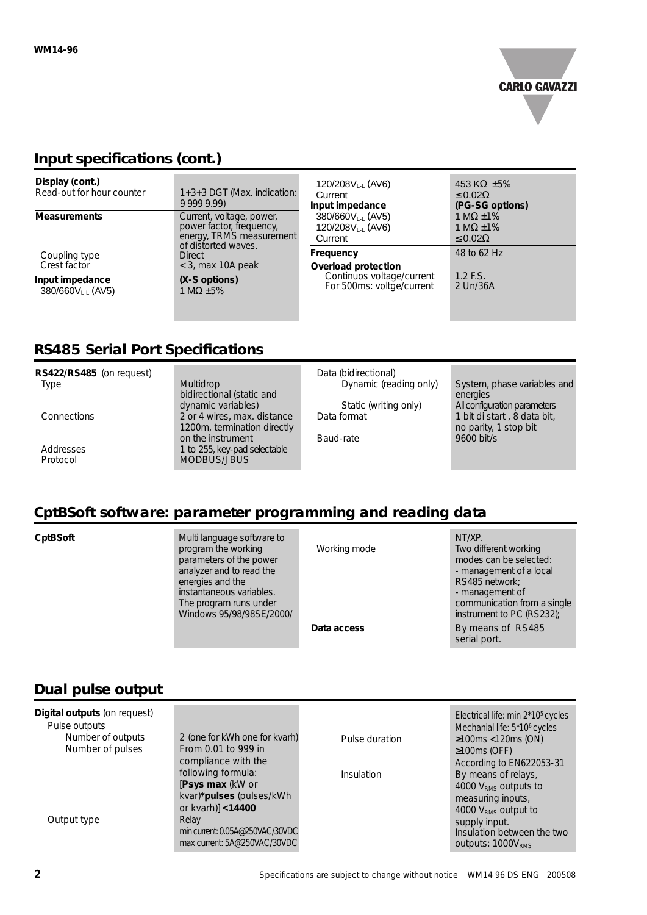

## **Input specifications (cont.)**

| Display (cont.)<br>Read-out for hour counter | 1+3+3 DGT (Max. indication:<br>9 999 9.99)                                                              | 120/208 $V_{L-L}$ (AV6)<br>Current<br>Input impedance                         | 453 KΩ $±5%$<br>$\leq 0.02\Omega$<br>(PG-SG options)      |
|----------------------------------------------|---------------------------------------------------------------------------------------------------------|-------------------------------------------------------------------------------|-----------------------------------------------------------|
| <b>Measurements</b>                          | Current, voltage, power,<br>power factor, frequency,<br>energy, TRMS measurement<br>of distorted waves. | 380/660VLL (AV5)<br>120/208VLL (AV6)<br>Current                               | 1 M $\Omega$ ±1%<br>1 M $\Omega$ ±1%<br>$\leq 0.02\Omega$ |
| Coupling type<br>Crest factor                | <b>Direct</b><br>$<$ 3, max 10A peak                                                                    | Frequency                                                                     | 48 to 62 Hz                                               |
| Input impedance<br>380/660VLL (AV5)          | (X-S options)<br>1 M $\Omega$ ±5%                                                                       | Overload protection<br>Continuos voltage/current<br>For 500ms: voltge/current | $1.2$ F.S.<br>2 Un/36A                                    |

# **RS485 Serial Port Specifications**

| RS422/RS485 (on request) |                              | Data (bidirectional)   |                              |
|--------------------------|------------------------------|------------------------|------------------------------|
| <b>Type</b>              | <b>Multidrop</b>             | Dynamic (reading only) | System, phase variables and  |
|                          | bidirectional (static and    |                        | energies                     |
|                          | dynamic variables)           | Static (writing only)  | All configuration parameters |
| Connections              | 2 or 4 wires, max. distance  | Data format            | 1 bit di start, 8 data bit,  |
|                          | 1200m, termination directly  |                        | no parity, 1 stop bit        |
|                          | on the instrument            | Baud-rate              | 9600 bit/s                   |
| Addresses                | 1 to 255, key-pad selectable |                        |                              |
| Protocol                 | MODBUS/JBUS                  |                        |                              |
|                          |                              |                        |                              |

## **CptBSoft software: parameter programming and reading data**

**CptBSoft** Multi language software to program the working parameters of the power analyzer and to read the energies and the instantaneous variables. The program runs under Windows 95/98/98SE/2000/

| Working mode | NT/XP.<br>Two different working<br>modes can be selected:<br>- management of a local<br>RS485 network;<br>- management of<br>communication from a single<br>instrument to PC (RS232); |
|--------------|---------------------------------------------------------------------------------------------------------------------------------------------------------------------------------------|
| Data access  | By means of RS485<br>serial port.                                                                                                                                                     |

# **Dual pulse output**

| <b>Digital outputs (on request)</b><br>Pulse outputs |                                                                 |                | Electrical life: min 2*10 <sup>5</sup> cycles<br>Mechanial life: 5*10 <sup>6</sup> cycles |
|------------------------------------------------------|-----------------------------------------------------------------|----------------|-------------------------------------------------------------------------------------------|
| Number of outputs                                    | 2 (one for kWh one for kvarh)                                   | Pulse duration | $\geq$ 100ms <120ms (ON)                                                                  |
| Number of pulses                                     | From 0.01 to 999 in                                             |                | $\geq 100 \text{ms}$ (OFF)                                                                |
|                                                      | compliance with the                                             |                | According to EN622053-31                                                                  |
|                                                      | following formula:                                              | Insulation     | By means of relays,                                                                       |
|                                                      | [Psys max (kW or                                                |                | 4000 V <sub>RMS</sub> outputs to                                                          |
|                                                      | kvar)*pulses (pulses/kWh                                        |                | measuring inputs,                                                                         |
|                                                      | or kvarh)] <14400                                               |                | 4000 V <sub>RMS</sub> output to                                                           |
| Output type                                          | Relay                                                           |                | supply input.                                                                             |
|                                                      | min current: 0.05A@250VAC/30VDC<br>max current: 5A@250VAC/30VDC |                | Insulation between the two<br>outputs: 1000V <sub>RMS</sub>                               |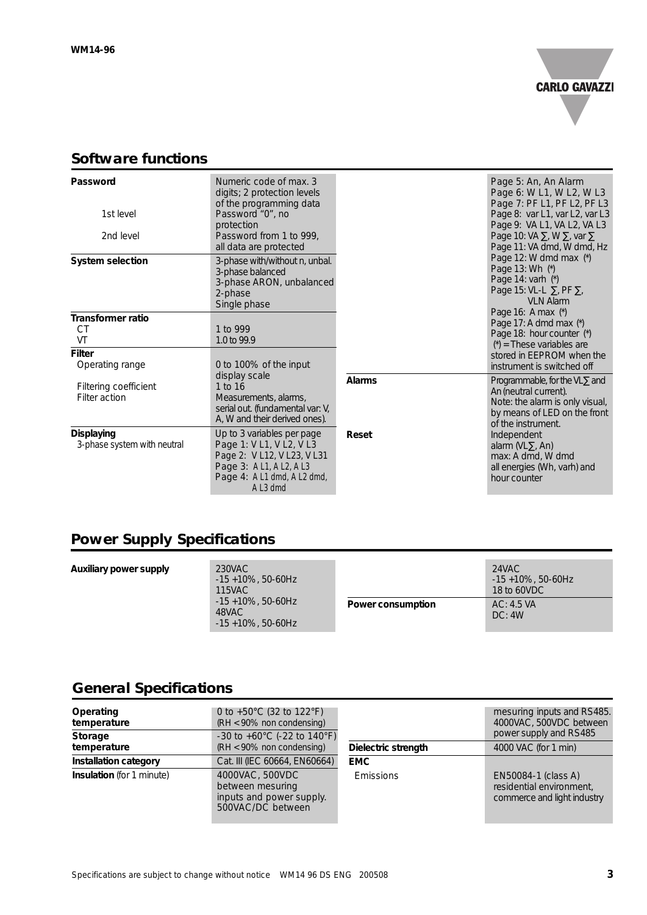

## **Software functions**

| Password<br>1st level<br>2nd level               | Numeric code of max. 3<br>digits; 2 protection levels<br>of the programming data<br>Password "0", no<br>protection<br>Password from 1 to 999,                            |               | Page 5: An, An Alarm<br>Page 6: W L1, W L2, W L3<br>Page 7: PF L1, PF L2, PF L3<br>Page 8: var L1, var L2, var L3<br>Page 9: VA L1, VA L2, VA L3<br>Page 10: VA $\Sigma$ , W $\Sigma$ , var $\Sigma$ |
|--------------------------------------------------|--------------------------------------------------------------------------------------------------------------------------------------------------------------------------|---------------|------------------------------------------------------------------------------------------------------------------------------------------------------------------------------------------------------|
| <b>System selection</b>                          | all data are protected<br>3-phase with/without n, unbal.<br>3-phase balanced<br>3-phase ARON, unbalanced<br>2-phase<br>Single phase                                      |               | Page 11: VA dmd, W dmd, Hz<br>Page 12: W dmd max (*)<br>Page 13: Wh (*)<br>Page 14: varh (*)<br>Page 15: VL-L $\Sigma$ , PF $\Sigma$ ,<br><b>VLN Alarm</b>                                           |
| <b>Transformer ratio</b><br>СT<br>VT             | 1 to 999<br>1.0 to 99.9                                                                                                                                                  |               | Page 16: A max (*)<br>Page 17: A dmd max (*)<br>Page 18: hour counter (*)<br>$(*)$ = These variables are                                                                                             |
| <b>Filter</b><br>Operating range                 | 0 to 100% of the input                                                                                                                                                   |               | stored in EEPROM when the<br>instrument is switched off                                                                                                                                              |
| Filtering coefficient<br>Filter action           | display scale<br>1 to 16<br>Measurements, alarms,<br>serial out. (fundamental var: V,<br>A, W and their derived ones).                                                   | <b>Alarms</b> | Programmable, for the VL $\Sigma$ and<br>An (neutral current).<br>Note: the alarm is only visual,<br>by means of LED on the front<br>of the instrument.                                              |
| <b>Displaying</b><br>3-phase system with neutral | Up to 3 variables per page<br>Page 1: V L1, V L2, V L3<br>Page 2: V L12, V L23, V L31<br>Page 3: A L1, A L2, A L3<br>Page 4: A L1 dmd, A L2 dmd,<br>A L <sub>3</sub> dmd | Reset         | Independent<br>alarm (VL $\Sigma$ , An)<br>max: A dmd, W dmd<br>all energies (Wh, varh) and<br>hour counter                                                                                          |

# **Power Supply Specifications**

| Auxiliary power supply | 230VAC<br>$-15 + 10\%$ , 50-60Hz<br>115VAC                |                   | 24VAC<br>$-15 + 10\%$ , 50-60Hz<br>18 to 60VDC |
|------------------------|-----------------------------------------------------------|-------------------|------------------------------------------------|
|                        | $-15 + 10\%$ , 50-60Hz<br>48VAC<br>$-15 + 10\%$ , 50-60Hz | Power consumption | AC: 4.5 VA<br>DC: 4W                           |

# **General Specifications**

| Operating<br>temperature<br>Storage | 0 to $+50^{\circ}$ C (32 to 122 $^{\circ}$ F)<br>(RH < 90% non condensing)<br>$-30$ to $+60^{\circ}$ C (-22 to 140 $^{\circ}$ F) |                     | mesuring inputs and RS485.<br>4000VAC, 500VDC between<br>power supply and RS485 |
|-------------------------------------|----------------------------------------------------------------------------------------------------------------------------------|---------------------|---------------------------------------------------------------------------------|
| temperature                         | (RH < 90% non condensing)                                                                                                        | Dielectric strength | 4000 VAC (for 1 min)                                                            |
| <b>Installation category</b>        | Cat. III (IEC 60664, EN60664)                                                                                                    | <b>EMC</b>          |                                                                                 |
| <b>Insulation</b> (for 1 minute)    | 4000VAC, 500VDC<br>between mesuring<br>inputs and power supply.<br>500VAC/DC between                                             | <b>Emissions</b>    | EN50084-1 (class A)<br>residential environment,<br>commerce and light industry  |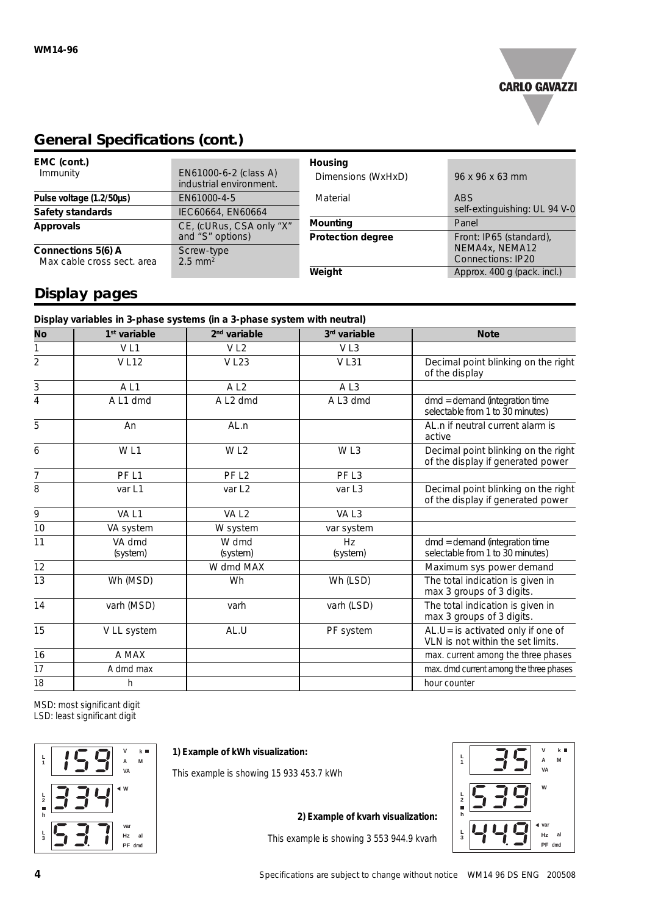

# **General Specifications (cont.)**

| EMC (cont.)<br>Immunity    | EN61000-6-2 (class A)<br>industrial environment. | <b>Housing</b><br>Dimensions (WxHxD) | 96 x 96 x 63 mm               |
|----------------------------|--------------------------------------------------|--------------------------------------|-------------------------------|
| Pulse voltage (1.2/50µs)   | EN61000-4-5                                      | Material                             | ABS                           |
| Safety standards           | IEC60664, EN60664                                |                                      | self-extinguishing: UL 94 V-0 |
| <b>Approvals</b>           | CE, (cURus, CSA only "X"                         | <b>Mounting</b>                      | Panel                         |
|                            | and "S" options)                                 | <b>Protection degree</b>             | Front: IP65 (standard),       |
| Connections 5(6) A         | Screw-type                                       |                                      | NEMA4x, NEMA12                |
| Max cable cross sect, area | $2.5 \text{ mm}^2$                               |                                      | <b>Connections: IP20</b>      |
|                            |                                                  | Weight                               | Approx. 400 g (pack. incl.)   |

# **Display pages**

| Display variables in 3-phase systems (in a 3-phase system with neutral) |                      |                    |                                                                          |  |
|-------------------------------------------------------------------------|----------------------|--------------------|--------------------------------------------------------------------------|--|
| $1st$ variable                                                          | $2nd$ variable       | 3rd variable       | <b>Note</b>                                                              |  |
| VL1                                                                     | V <sub>L2</sub>      | VL3                |                                                                          |  |
| <b>VL12</b>                                                             | <b>VL23</b>          | <b>VL31</b>        | Decimal point blinking on the right<br>of the display                    |  |
| AL1                                                                     | AL <sub>2</sub>      | AL3                |                                                                          |  |
| A L1 dmd                                                                | A L <sub>2</sub> dmd | A L3 dmd           | $dmd =$ demand (integration time<br>selectable from 1 to 30 minutes)     |  |
| An                                                                      | AL.n                 |                    | AL.n if neutral current alarm is<br>active                               |  |
| W <sub>L1</sub>                                                         | W <sub>L2</sub>      | WL3                | Decimal point blinking on the right<br>of the display if generated power |  |
| PF <sub>L1</sub>                                                        | PF <sub>L2</sub>     | PF <sub>L3</sub>   |                                                                          |  |
| var L1                                                                  | var L <sub>2</sub>   | var L <sub>3</sub> | Decimal point blinking on the right<br>of the display if generated power |  |
| VA <sub>L1</sub>                                                        | VA <sub>L2</sub>     | VAL3               |                                                                          |  |
| VA system                                                               | W system             | var system         |                                                                          |  |
| VA dmd<br>(system)                                                      | W dmd<br>(system)    | Hz<br>(system)     | $dmd =$ demand (integration time<br>selectable from 1 to 30 minutes)     |  |
|                                                                         | W dmd MAX            |                    | Maximum sys power demand                                                 |  |
| Wh (MSD)                                                                | Wh                   | Wh (LSD)           | The total indication is given in<br>max 3 groups of 3 digits.            |  |
| varh (MSD)                                                              | varh                 | varh (LSD)         | The total indication is given in<br>max 3 groups of 3 digits.            |  |
| V LL system                                                             | AL.U                 | PF system          | AL.U= is activated only if one of<br>VLN is not within the set limits.   |  |
| A MAX                                                                   |                      |                    | max. current among the three phases                                      |  |
| A dmd max                                                               |                      |                    | max. dmd current among the three phases                                  |  |
| h                                                                       |                      |                    | hour counter                                                             |  |
|                                                                         |                      |                    |                                                                          |  |

MSD: most significant digit LSD: least significant digit



**1) Example of kWh visualization:**

This example is showing 15 933 453.7 kWh

**2) Example of kvarh visualization:**

This example is showing 3 553 944.9 kvarh

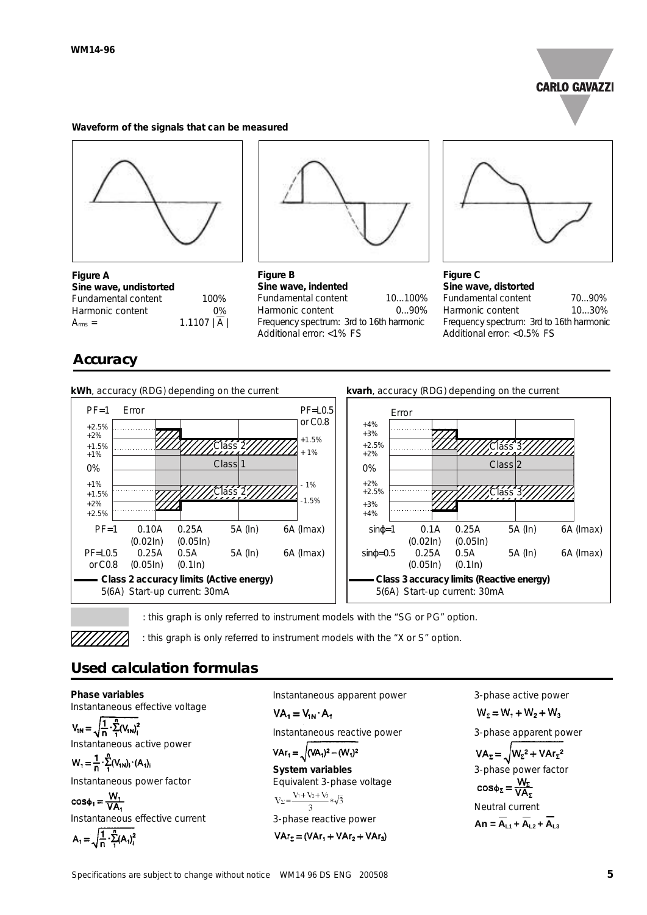

#### **Waveform of the signals that can be measured**



**Figure A Sine wave, undistorted** Fundamental content 100% Harmonic content 0%  $A_{rms} = 1.1107 |\overline{A}|$ 

## **Accuracy**



**Figure B Sine wave, indented** Fundamental content 10...100% Harmonic content 0...90% Frequency spectrum: 3rd to 16th harmonic Additional error: <1% FS



**Figure C Sine wave, distorted**  Fundamental content 70...90% Harmonic content 10...30% Frequency spectrum: 3rd to 16th harmonic Additional error: <0.5% FS







: this graph is only referred to instrument models with the "SG or PG" option.

: this graph is only referred to instrument models with the "X or S" option.

## **Used calculation formulas**

**Phase variables** Instantaneous effective voltage

 $V_{1N} = \sqrt{\frac{1}{n} \cdot \sum_{1}^{n} (V_{1N})_{1}^{2}}$ Instantaneous active power

 $W_1 = \frac{1}{n} \cdot \sum_{i=1}^{n} (V_{1N})_i \cdot (A_1)_i$ 

Instantaneous power factor

 $cos\phi_1 = \frac{W_1}{VA}$ Instantaneous effective current  $A_1$ 

$$
=\sqrt{\frac{1}{n}\cdot\sum_{i=1}^{n}(A_{i})_{i}^{2}}
$$

Instantaneous apparent power

 $VA_1 = V_{1N} \cdot A_1$ 

Instantaneous reactive power

 $\text{Var}_1 = \sqrt{(\text{VA}_1)^2 - (\text{W}_1)^2}$ 

**System variables** Equivalent 3-phase voltage<br>  $V_{\Sigma} = \frac{V_1 + V_2 + V_3}{3} * \sqrt{3}$ 3-phase reactive power

 $VAr_{\Sigma} = (VAr_1 + VAr_2 + VAr_3)$ 

3-phase active power

 $W_2 = W_1 + W_2 + W_3$ 

3-phase apparent power

 $VA_{\Sigma} = \sqrt{W_{\Sigma}^2 + VAr_{\Sigma}^2}$ 3-phase power factor  $cos\phi_{\Sigma} = \frac{W_{\Sigma}}{VA_{\Sigma}}$ 

Neutral current

$$
An = \overline{A}_{L1} + \overline{A}_{L2} + \overline{A}_{L3}
$$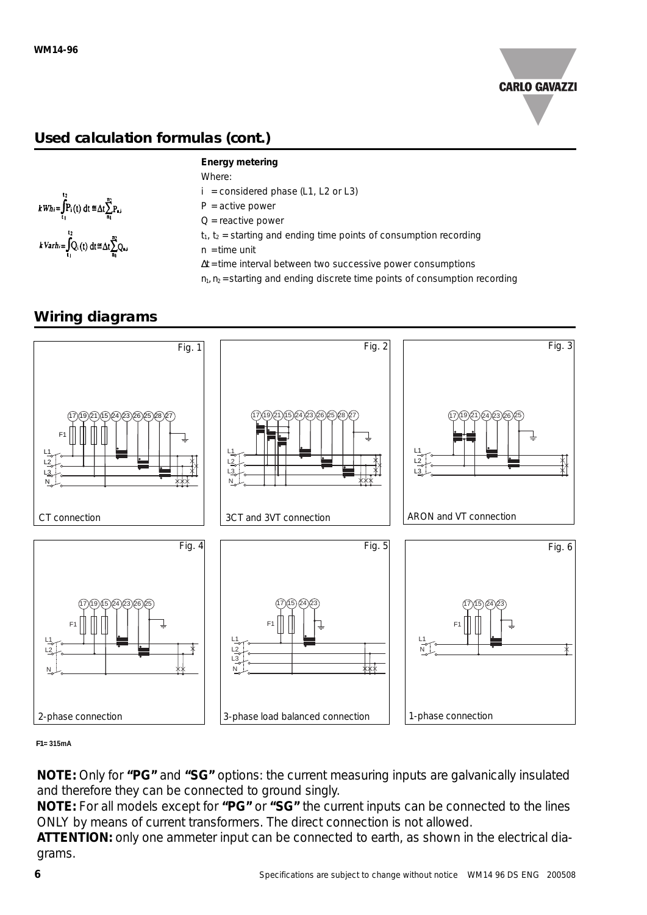

# **Used calculation formulas (cont.)**



#### **Energy metering**

Where:

- $i =$  considered phase (L1, L2 or L3)
- $P =$  active power
- $Q$  = reactive power
- $t_1$ ,  $t_2$  = starting and ending time points of consumption recording
- $n =$  time unit
- ∆t = time interval between two successive power consumptions
- $n_1$ ,  $n_2$  = starting and ending discrete time points of consumption recording

## **Wiring diagrams**



#### **F1= 315mA**

**NOTE:** Only for **"PG"** and **"SG"** options: the current measuring inputs are galvanically insulated and therefore they can be connected to ground singly.

**NOTE:** For all models except for **"PG"** or **"SG"** the current inputs can be connected to the lines ONLY by means of current transformers. The direct connection is not allowed.

**ATTENTION:** only one ammeter input can be connected to earth, as shown in the electrical diagrams.